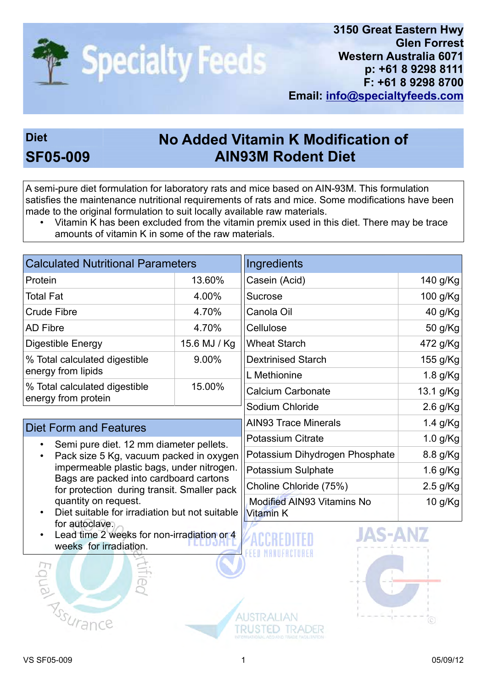

## Diet No Added Vitamin K Modification of SF05-009 AIN93M Rodent Diet

A semi-pure diet formulation for laboratory rats and mice based on AIN-93M. This formulation satisfies the maintenance nutritional requirements of rats and mice. Some modifications have been made to the original formulation to suit locally available raw materials.

• Vitamin K has been excluded from the vitamin premix used in this diet. There may be trace amounts of vitamin K in some of the raw materials.

| <b>Calculated Nutritional Parameters</b>             |              |  |  |
|------------------------------------------------------|--------------|--|--|
| Protein                                              | 13.60%       |  |  |
| <b>Total Fat</b>                                     | 4.00%        |  |  |
| <b>Crude Fibre</b>                                   | 4.70%        |  |  |
| <b>AD Fibre</b>                                      | 4.70%        |  |  |
| Digestible Energy                                    | 15.6 MJ / Kg |  |  |
| % Total calculated digestible<br>energy from lipids  | 9.00%        |  |  |
| % Total calculated digestible<br>energy from protein | 15.00%       |  |  |

## Diet Form and Features

- Semi pure diet. 12 mm diameter pellets.
- Pack size 5 Kg, vacuum packed in oxygen impermeable plastic bags, under nitrogen. Bags are packed into cardboard cartons for protection during transit. Smaller pack quantity on request.
- Diet suitable for irradiation but not suitable for autoclave.
- Lead time 2 weeks for non-irradiation or 4 weeks for irradiation



| Ingredients                                    |            |
|------------------------------------------------|------------|
| Casein (Acid)                                  | 140 g/Kg   |
| <b>Sucrose</b>                                 | 100 g/Kg   |
| Canola Oil                                     | 40 g/Kg    |
| Cellulose                                      | 50 g/Kg    |
| <b>Wheat Starch</b>                            | 472 g/Kg   |
| <b>Dextrinised Starch</b>                      | 155 g/Kg   |
| L Methionine                                   | $1.8$ g/Kg |
| <b>Calcium Carbonate</b>                       | 13.1 g/Kg  |
| Sodium Chloride                                | $2.6$ g/Kg |
| <b>AIN93 Trace Minerals</b>                    | 1.4 g/Kg   |
| <b>Potassium Citrate</b>                       | $1.0$ g/Kg |
| Potassium Dihydrogen Phosphate                 | 8.8 g/Kg   |
| <b>Potassium Sulphate</b>                      | 1.6 g/Kg   |
| Choline Chloride (75%)                         | $2.5$ g/Kg |
| <b>Modified AIN93 Vitamins No</b><br>Vitamin K | 10 g/Kg    |





**AUSTRALIAN** 

**TRUSTED TRADER**